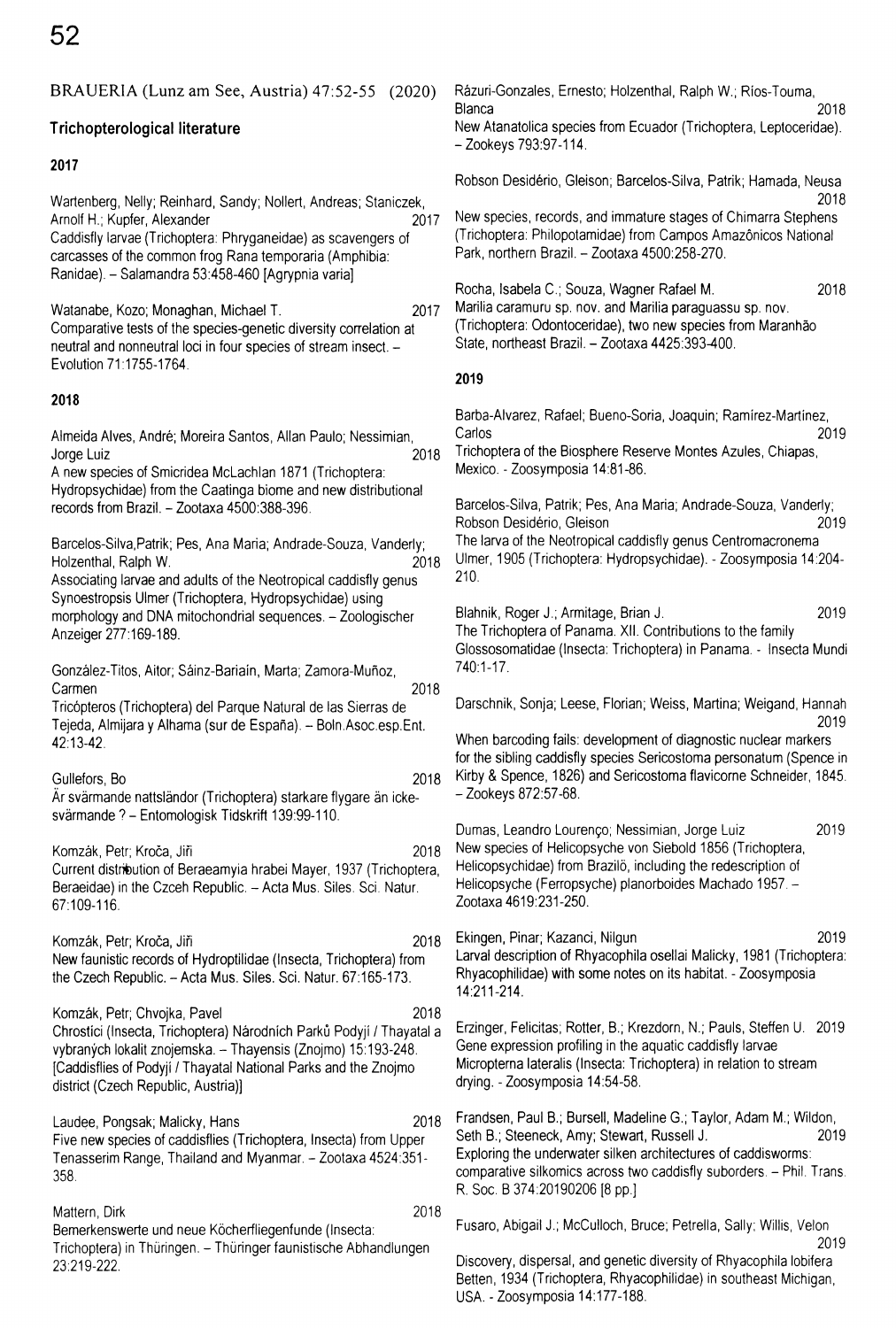| BRAUERIA (Lunz am See, Austria) 47:52-55<br>(2020)                                                                                                                                                                                                                                         | Rázuri-Gonzales, Ernesto; Holzenthal, Ralph W.; Ríos-Touma,                                                                                                                                                                                                                                         |
|--------------------------------------------------------------------------------------------------------------------------------------------------------------------------------------------------------------------------------------------------------------------------------------------|-----------------------------------------------------------------------------------------------------------------------------------------------------------------------------------------------------------------------------------------------------------------------------------------------------|
| Trichopterological literature                                                                                                                                                                                                                                                              | Blanca<br>2018<br>New Atanatolica species from Ecuador (Trichoptera, Leptoceridae).<br>– Zookeys 793:97-114.                                                                                                                                                                                        |
| 2017                                                                                                                                                                                                                                                                                       |                                                                                                                                                                                                                                                                                                     |
| Wartenberg, Nelly; Reinhard, Sandy; Nollert, Andreas; Staniczek,<br>Arnolf H.; Kupfer, Alexander<br>2017<br>Caddisfly larvae (Trichoptera: Phryganeidae) as scavengers of<br>carcasses of the common frog Rana temporaria (Amphibia:<br>Ranidae). - Salamandra 53:458-460 [Agrypnia varia] | Robson Desidério, Gleison; Barcelos-Silva, Patrik; Hamada, Neusa<br>2018<br>New species, records, and immature stages of Chimarra Stephens<br>(Trichoptera: Philopotamidae) from Campos Amazônicos National<br>Park, northern Brazil. - Zootaxa 4500:258-270.                                       |
| 2017<br>Watanabe, Kozo; Monaghan, Michael T.<br>Comparative tests of the species-genetic diversity correlation at<br>neutral and nonneutral loci in four species of stream insect. -<br>Evolution 71:1755-1764.                                                                            | Rocha, Isabela C.; Souza, Wagner Rafael M.<br>2018<br>Marilia caramuru sp. nov. and Marilia paraguassu sp. nov.<br>(Trichoptera: Odontoceridae), two new species from Maranhão<br>State, northeast Brazil. - Zootaxa 4425:393-400.<br>2019                                                          |
| 2018                                                                                                                                                                                                                                                                                       | Barba-Alvarez, Rafael; Bueno-Soria, Joaquin; Ramírez-Martínez,                                                                                                                                                                                                                                      |
| Almeida Alves, André; Moreira Santos, Allan Paulo; Nessimian,<br>2018<br>Jorge Luiz<br>A new species of Smicridea McLachlan 1871 (Trichoptera:                                                                                                                                             | Carlos<br>2019<br>Trichoptera of the Biosphere Reserve Montes Azules, Chiapas,<br>Mexico. - Zoosymposia 14:81-86.                                                                                                                                                                                   |
| Hydropsychidae) from the Caatinga biome and new distributional<br>records from Brazil. - Zootaxa 4500:388-396.                                                                                                                                                                             | Barcelos-Silva, Patrik; Pes, Ana Maria; Andrade-Souza, Vanderly;<br>Robson Desidério, Gleison<br>2019                                                                                                                                                                                               |
| Barcelos-Silva, Patrik; Pes, Ana Maria; Andrade-Souza, Vanderly;<br>Holzenthal, Ralph W.<br>2018<br>Associating larvae and adults of the Neotropical caddisfly genus                                                                                                                       | The larva of the Neotropical caddisfly genus Centromacronema<br>Ulmer, 1905 (Trichoptera: Hydropsychidae). - Zoosymposia 14:204-<br>210.                                                                                                                                                            |
| Synoestropsis Ulmer (Trichoptera, Hydropsychidae) using<br>morphology and DNA mitochondrial sequences. - Zoologischer<br>Anzeiger 277:169-189.                                                                                                                                             | 2019<br>Blahnik, Roger J.; Armitage, Brian J.<br>The Trichoptera of Panama. XII. Contributions to the family<br>Glossosomatidae (Insecta: Trichoptera) in Panama. - Insecta Mundi                                                                                                                   |
| González-Titos, Aitor; Sáinz-Bariaín, Marta; Zamora-Muñoz,<br>2018<br>Carmen                                                                                                                                                                                                               | 740:1-17.                                                                                                                                                                                                                                                                                           |
| Tricópteros (Trichoptera) del Parque Natural de las Sierras de<br>Tejeda, Almijara y Alhama (sur de España). -- Boln Asoc esp. Ent.                                                                                                                                                        | Darschnik, Sonja; Leese, Florian; Weiss, Martina; Weigand, Hannah<br>2019                                                                                                                                                                                                                           |
| 42:13-42.<br>2018<br>Gullefors, Bo<br>Ar svärmande nattsländor (Trichoptera) starkare flygare än icke-                                                                                                                                                                                     | When barcoding fails: development of diagnostic nuclear markers<br>for the sibling caddisfly species Sericostoma personatum (Spence in<br>Kirby & Spence, 1826) and Sericostoma flavicorne Schneider, 1845.<br>– Zookeys 872:57-68.                                                                 |
| svärmande ? – Entomologisk Tidskrift 139:99-110.                                                                                                                                                                                                                                           | Dumas, Leandro Lourenço; Nessimian, Jorge Luiz<br>2019                                                                                                                                                                                                                                              |
| Komzák, Petr; Kroča, Jiři<br>2018<br>Current distribution of Beraeamyia hrabei Mayer, 1937 (Trichoptera,<br>Beraeidae) in the Czceh Republic. - Acta Mus. Siles. Sci. Natur.<br>67:109-116.                                                                                                | New species of Helicopsyche von Siebold 1856 (Trichoptera,<br>Helicopsychidae) from Brazilo, including the redescription of<br>Helicopsyche (Ferropsyche) planorboides Machado 1957. -<br>Zootaxa 4619:231-250.                                                                                     |
| 2018<br>Komzák, Petr; Kroča, Jiři<br>New faunistic records of Hydroptilidae (Insecta, Trichoptera) from<br>the Czech Republic. - Acta Mus. Siles. Sci. Natur. 67:165-173.                                                                                                                  | 2019<br>Ekingen, Pinar; Kazanci, Nilgun<br>Larval description of Rhyacophila osellai Malicky, 1981 (Trichoptera:<br>Rhyacophilidae) with some notes on its habitat. - Zoosymposia<br>14:211-214.                                                                                                    |
| 2018<br>Komzák, Petr; Chvojka, Pavel<br>Chrostici (Insecta, Trichoptera) Národních Parků Podyjí / Thayatal a<br>vybraných lokalit znojemska. - Thayensis (Znojmo) 15:193-248.<br>[Caddisflies of Podyji / Thayatal National Parks and the Znojmo<br>district (Czech Republic, Austria)]    | Erzinger, Felicitas; Rotter, B.; Krezdorn, N.; Pauls, Steffen U. 2019<br>Gene expression profiling in the aquatic caddisfly larvae<br>Micropterna lateralis (Insecta: Trichoptera) in relation to stream<br>drying. - Zoosymposia 14:54-58.                                                         |
| 2018<br>Laudee, Pongsak; Malicky, Hans<br>Five new species of caddisflies (Trichoptera, Insecta) from Upper<br>Tenasserim Range, Thailand and Myanmar. - Zootaxa 4524:351-<br>358.                                                                                                         | Frandsen, Paul B.; Bursell, Madeline G.; Taylor, Adam M.; Wildon,<br>2019<br>Seth B.; Steeneck, Amy; Stewart, Russell J.<br>Exploring the underwater silken architectures of caddisworms:<br>comparative silkomics across two caddisfly suborders. - Phil. Trans.<br>R. Soc. B 374:20190206 [8 pp.] |
| 2018<br>Mattern, Dirk<br>Bemerkenswerte und neue Köcherfliegenfunde (Insecta:<br>Trichoptera) in Thüringen. – Thüringer faunistische Abhandlungen<br>23:219-222.                                                                                                                           | Fusaro, Abigail J.; McCulloch, Bruce; Petrella, Sally; Willis, Velon<br>2019<br>Discovery, dispersal, and genetic diversity of Rhyacophila lobifera<br>Betten, 1934 (Trichoptera, Rhyacophilidae) in southeast Michigan,<br>USA. - Zoosymposia 14:177-188.                                          |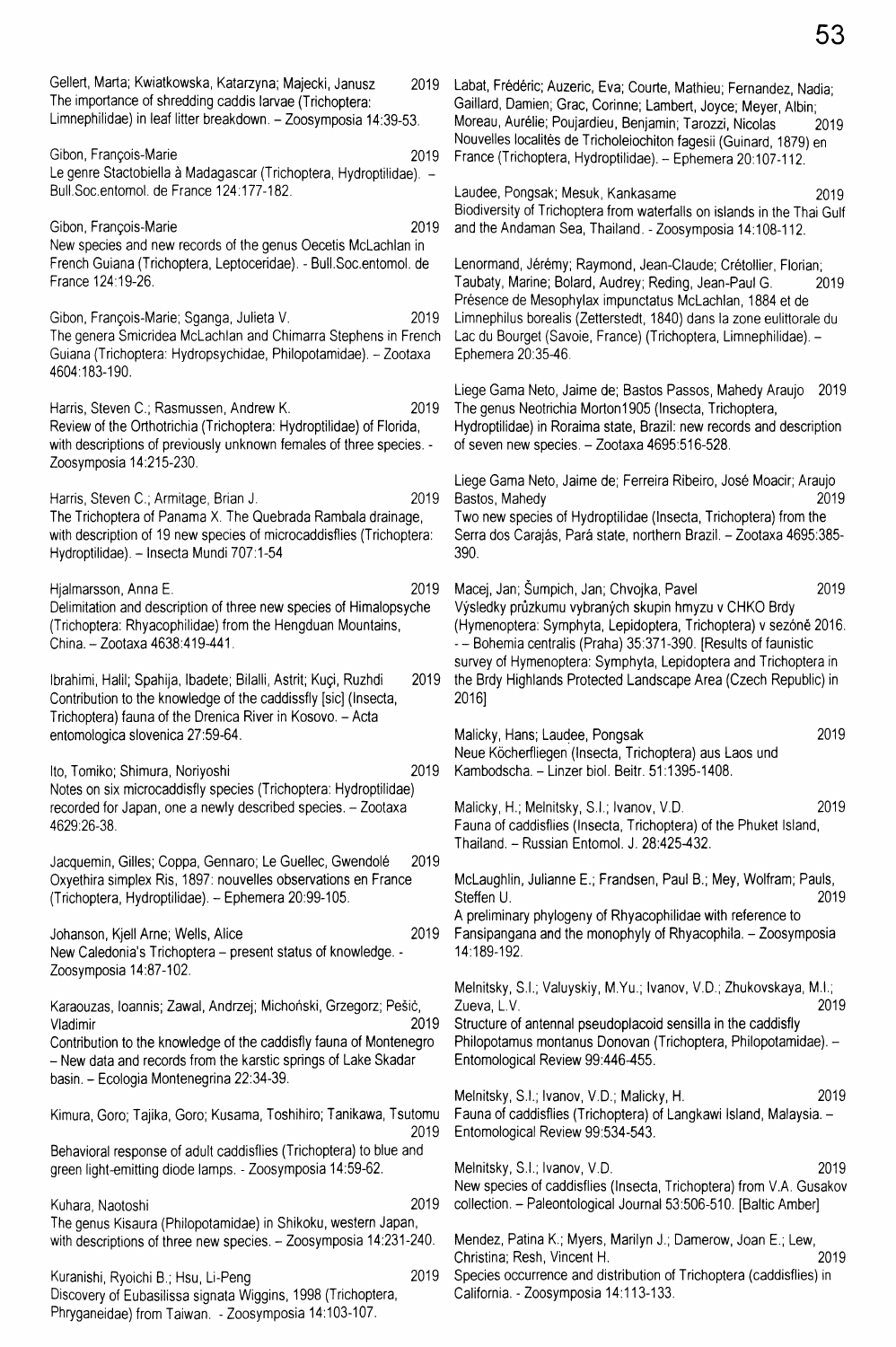Gellert, Marta; Kwiatkowska, Katarzyna; Majecki, Janusz 2019 The importance of shredding caddis larvae (Trichoptera: Limnephilidae) in leaf litter breakdown. - Zoosymposia 14:39-53. Gibon, François-Marie 2019 Le genre Stactobiella à Madagascar (Trichoptera, Hydroptilidae). -Bull.Soc.entomol. de France 124:177-182. Gibon, François-Marie 2019 New species and new records of the genus Oecetis McLachlan in French Guiana (Trichoptera, Leptoceridae). - Bull.Soc.entomol. de France 124:19-26. Gibon, François-Marie; Sganga, Julieta V. 2019 The genera Smicridea McLachlan and Chimarra Stephens in French Guiana (Trichoptera: Hydropsychidae, Philopotamidae). - Zootaxa 4604:183-190. Harris, Steven C.; Rasmussen, Andrew K. 2019 Review of the Orthotrichia (Trichoptera: Hydroptilidae) of Florida, with descriptions of previously unknown females of three species. -Zoosymposia 14:215-230. Harris, Steven C.; Armitage, Brian J. 2019 The Trichoptera of Panama X. The Quebrada Rambala drainage, with description of 19 new species of microcaddisflies (Trichoptera: Hydroptilidae). - Insecta Mundi 707:1-54 Hjalmarsson, Anna E. 2019 Delimitation and description of three new species of Himalopsyche (Trichoptera: Rhyacophilidae) from the Hengduan Mountains, China. - Zootaxa 4638:419-441. Ibrahimi, Halil; Spahija, Ibadete; Bilalli, Astrit; Kuçi, Ruzhdi 2019 Contribution to the knowledge of the caddissfly [sic] (Insecta, Trichoptera) fauna of the Drenica River in Kosovo. - Acta entomologica slovenica 27:59-64. Ito, Tomiko; Shimura, Noriyoshi 2019 Notes on six microcaddisfly species (Trichoptera: Hydroptilidae) recorded for Japan, one a newly described species. - Zootaxa 4629:26-38. Jacquemin, Gilles; Coppa, Gennaro; Le Guellec, Gwendolé 2019 Oxyethira simplex Ris, 1897: nouvelles observations en France (Trichoptera, Hydroptilidae). - Ephemera 20:99-105. Johanson, Kjell Arne; Wells, Alice 2019 New Caledonia's Trichoptera - present status of knowledge. - Zoosymposia 14:87-102. Karaouzas, loannis; Zawal, Andrzej; Michohski, Grzegorz; Pesic, Vladimir 2019 Contribution to the knowledge of the caddisfly fauna of Montenegro - New data and records from the karstic springs of Lake Skadar basin. - Ecologia Montenegrina 22:34-39. Kimura, Goro; Tajika, Goro; Kusama, Toshihiro; Tanikawa, Tsutomu 2019 Behavioral response of adult caddisflies (Trichoptera) to blue and green light-emitting diode lamps. - Zoosymposia 14:59-62. Kuhara, Naotoshi 2019 The genus Kisaura (Philopotamidae) in Shikoku, western Japan, with descriptions of three new species. - Zoosymposia 14:231-240. Kuranishi, Ryoichi B.; Hsu, Li-Peng 2019 Discovery of Eubasilissa signata Wiggins, 1998 (Trichoptera, Phryganeidae) from Taiwan. - Zoosymposia 14:103-107. Labat, Frédéric; Auzeric, Eva; Courte, Mathieu; Fernandez, Nadia; Gaillard, Damien; Grac, Corinne; Lambert, Joyce; Meyer, Albin; Moreau, Aurélie; Poujardieu, Benjamin; Tarozzi, Nicolas 2019 Nouvelles localités de Tricholeiochiton fagesii (Guinard, 1879) en France (Trichoptera, Hydroptilidae). - Ephemera 20:107-112. Laudee, Pongsak; Mesuk, Kankasame 2019 Biodiversity of Trichoptera from waterfalls on islands in the Thai Gulf and the Andaman Sea, Thailand. - Zoosymposia 14:108-112. Lenormand, Jérémy; Raymond, Jean-Claude; Crétollier, Florian; Taubaty, Marine; Bolard, Audrey; Reding, Jean-Paul G. 2019 Présence de Mesophylax impunctatus McLachlan, 1884 et de Limnephilus borealis (Zetterstedt, 1840) dans la zone eulittorale du Lac du Bourget (Savoie, France) (Trichoptera, Limnephilidae). -Ephemera 20:35-46. Liege Gama Neto, Jaime de; Bastos Passos, Mahedy Araujo 2019 The genus Neotrichia Morton1905 (Insecta, Trichoptera, Hydroptilidae) in Roraima state, Brazil: new records and description of seven new species. - Zootaxa 4695:516-528. Liege Gama Neto, Jaime de; Ferreira Ribeiro, José Moacir; Araujo Bastos, Mahedy 2019 Two new species of Hydroptilidae (Insecta, Trichoptera) from the Serra dos Carajás, Pará state, northern Brazil. - Zootaxa 4695:385-390. Macej, Jan; Šumpich, Jan; Chvojka, Pavel 2019 Vÿsledky prûzkumu vybranÿch skupin hmyzu v CHKO Brdy (Hymenoptera: Symphyta, Lepidoptera, Trichoptera) v sezôné 2016. -- Bohemia centralis (Praha) 35:371-390. [Results of faunistic survey of Hymenoptera: Symphyta, Lepidoptera and Trichoptera in the Brdy Highlands Protected Landscape Area (Czech Republic) in 2016] Malicky, Hans; Laudee, Pongsak 2019 Neue Kocherfliegen (Insecta, Trichoptera) aus Laos und Kambodscha. - Linzer biol. Beitr. 51:1395-1408. Malicky, H.; Melnitsky, S.I.; Ivanov, V.D. 2019 Fauna of caddisflies (Insecta, Trichoptera) of the Phuket Island, Thailand. - Russian Entomol. J. 28:425-432. McLaughlin, Julianne E.; Frandsen, Paul B.; Mey, Wolfram; Pauls, Steffen U. 2019 A preliminary phylogeny of Rhyacophilidae with reference to Fansipangana and the monophyly of Rhyacophila. - Zoosymposia 14:189-192. Melnitsky, S.I.; Valuyskiy, M.Yu.; Ivanov, V.D.; Zhukovskaya, M.I.; Zueva, L.V. 2019 Structure of antennal pseudoplacoid sensilla in the caddisfly Philopotamus montanus Donovan (Trichoptera, Philopotamidae). -Entomological Review 99:446-455. Melnitsky, S.I.; Ivanov, V.D.; Malicky, H. 2019 Fauna of caddisflies (Trichoptera) of Langkawi Island, Malaysia. - Entomological Review 99:534-543. Melnitsky, S.I.; Ivanov, V.D. 2019 New species of caddisflies (Insecta, Trichoptera) from V.A. Gusakov collection. - Paleontological Journal 53:506-510. [Baltic Amber] Mendez, Patina K.; Myers, Marilyn J.; Damerow, Joan E.; Lew, Christina; Resh, Vincent H. 2019 Species occurrence and distribution of Trichoptera (caddisflies) in California. - Zoosymposia 14:113-133.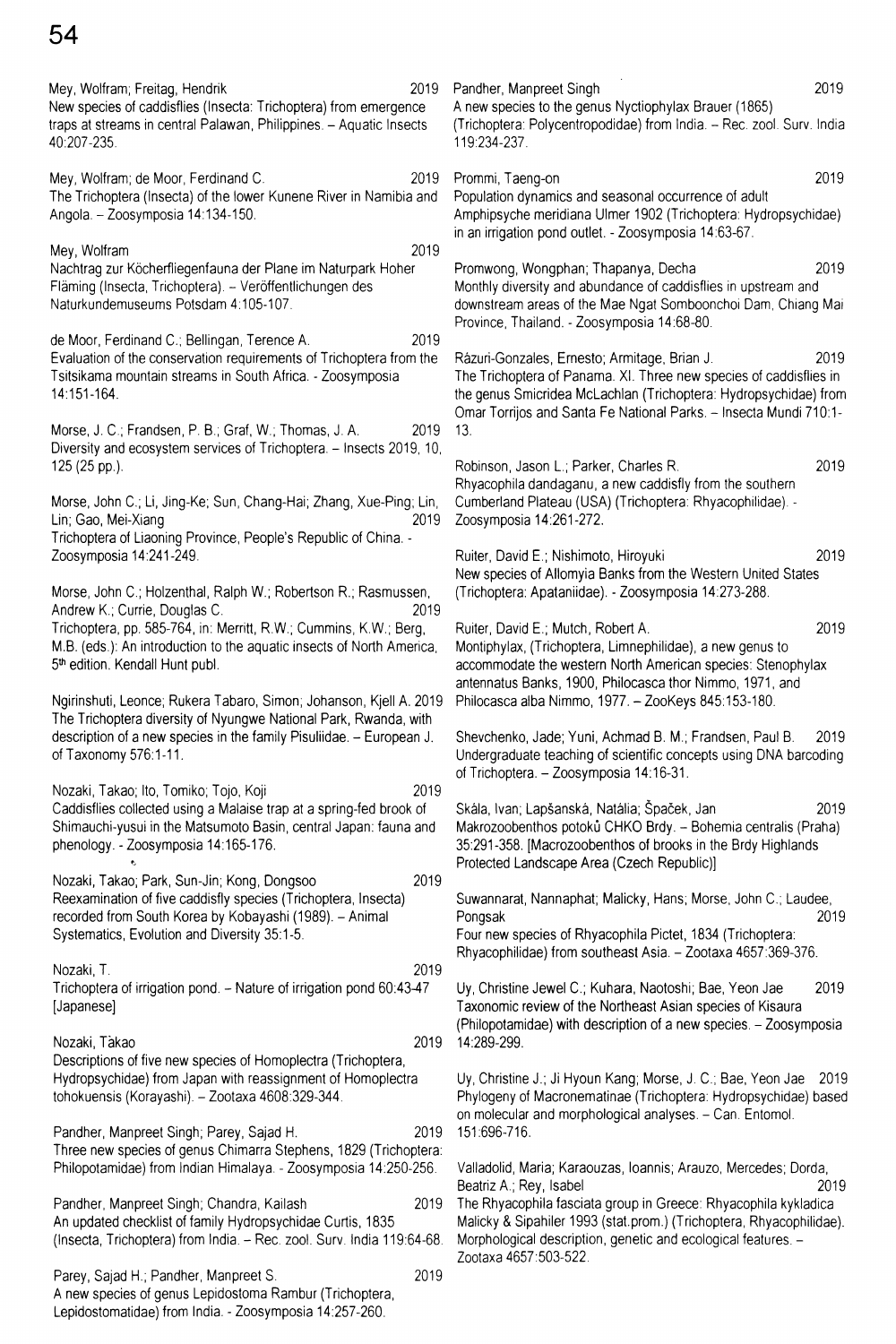Mey, Wolfram; Freitag, Hendrik 2019 New species of caddisflies (Insecta: Trichoptera) from emergence traps at streams in central Palawan, Philippines. - Aquatic Insects

Mey, Wolfram; de Moor, Ferdinand C. 2019 The Trichoptera (Insecta) of the lower Kunene River in Namibia and Angola. - Zoosymposia 14:134-150.

Mey, Wolfram 2019 Nachtrag zur Köcherfliegenfauna der Plane im Naturpark Hoher Fläming (Insecta, Trichoptera). - Veröffentlichungen des Naturkundemuseums Potsdam 4:105-107.

de Moor, Ferdinand C.; Bellingan, Terence A. 2019 Evaluation of the conservation requirements of Trichoptera from the Tsitsikama mountain streams in South Africa. - Zoosymposia 14:151-164.

Morse, J. C.; Frandsen, P. B.; Graf, W.; Thomas, J. A. 2019 Diversity and ecosystem services of Trichoptera. - Insects 2019, 10, 125 (25 pp.).

Morse, John C.; Li, Jing-Ke; Sun, Chang-Hai; Zhang, Xue-Ping; Lin, Lin; Gao, Mei-Xiang 2019 Trichoptera of Liaoning Province, People's Republic of China. - Zoosymposia 14:241-249.

Morse, John C.; Holzenthal, Ralph W.; Robertson R.; Rasmussen, Andrew K.; Currie, Douglas C. 2019 Trichoptera, pp. 585-764, in: Merritt, R.W.; Cummins, K.W.; Berg, M.B. (eds ): An introduction to the aquatic insects of North America, 5<sup>th</sup> edition. Kendall Hunt publ.

Ngirinshuti, Leonce; Rukera Tabaro, Simon; Johanson, Kjell A. 2019 The Trichoptera diversity of Nyungwe National Park, Rwanda, with description of a new species in the family Pisuliidae. - European J. of Taxonomy 576:1-11.

Nozaki, Takao; Ito, Tomiko; Tojo, Koji 2019 Caddisflies collected using a Malaise trap at a spring-fed brook of Shimauchi-yusui in the Matsumoto Basin, central Japan: fauna and phenology. - Zoosymposia 14:165-176.

Nozaki, Takao; Park, Sun-Jin; Kong, Dongsoo 2019 Reexamination of five caddisfly species (Trichoptera, Insecta) recorded from South Korea by Kobayashi (1989). - Animal Systematics, Evolution and Diversity 35:1-5.

*tj*

Nozaki, T. 2019 Trichoptera of irrigation pond. - Nature of irrigation pond 60:43-47 [Japanese]

Nozaki, Takao 2019 Descriptions of five new species of Homoplectra (Trichoptera, Hydropsychidae) from Japan with reassignment of Homoplectra tohokuensis (Korayashi). - Zootaxa 4608:329-344.

Pandher, Manpreet Singh; Parey, Sajad H. 2019 Three new species of genus Chimarra Stephens, 1829 (Trichoptera: Philopotamidae) from Indian Himalaya. - Zoosymposia 14:250-256.

Pandher, Manpreet Singh; Chandra, Kailash 2019 An updated checklist of family Hydropsychidae Curtis, 1835 (Insecta, Trichoptera) from India. - Rec. zool. Surv. India 119:64-68.

Parey, Sajad H.; Pandher, Manpreet S. 2019 A new species of genus Lepidostoma Rambur (Trichoptera, Lepidostomatidae) from India. - Zoosymposia 14:257-260.

Pandher, Manpreet Singh 2019 A new species to the genus Nyctiophylax Brauer (1865) (Trichoptera: Polycentropodidae) from India. - Rec. zool. Surv. India 119:234-237. Prommi, Taeng-on 2019 Population dynamics and seasonal occurrence of adult Amphipsyche meridiana Ulmer 1902 (Trichoptera: Hydropsychidae) in an irrigation pond outlet. - Zoosymposia 14:63-67. Promwong, Wongphan; Thapanya, Decha 2019 Monthly diversity and abundance of caddisflies in upstream and downstream areas of the Mae Ngat Somboonchoi Dam, Chiang Mai Province, Thailand. - Zoosymposia 14:68-80. Razuri-Gonzales, Ernesto; Armitage, Brian J. 2019 The Trichoptera of Panama. XI. Three new species of caddisflies in the genus Smicridea McLachlan (Trichoptera: Hydropsychidae) from Omar Torrijos and Santa Fe National Parks. - Insecta Mundi 710:1-13. Robinson, Jason L.; Parker, Charles R. 2019 Rhyacophila dandaganu, a new caddisfly from the southern Cumberland Plateau (USA) (Trichoptera: Rhyacophilidae). -

Ruiter, David E.; Nishimoto, Hiroyuki 2019 New species of Allomyia Banks from the Western United States (Trichoptera: Apataniidae). - Zoosymposia 14:273-288.

Zoosymposia 14:261-272.

Ruiter, David E.; Mutch, Robert A. 2019 Montiphylax, (Trichoptera, Limnephilidae), a new genus to accommodate the western North American species: Stenophylax antennatus Banks, 1900, Philocasca thor Nimmo, 1971, and Philocasca alba Nimmo, 1977. - ZooKeys 845:153-180.

Shevchenko, Jade; Yuni, Achmad B. M.; Frandsen, Paul B. 2019 Undergraduate teaching of scientific concepts using DNA barcoding of Trichoptera. - Zoosymposia 14:16-31.

Skála, Ivan; Lapšanská, Natália; Špaček, Jan 2019 Makrozoobenthos potoků CHKO Brdy. - Bohemia centralis (Praha) 35:291-358. [Macrozoobenthos of brooks in the Brdy Highlands Protected Landscape Area (Czech Republic)]

Suwannarat, Nannaphat; Malicky, Hans; Morse, John C.; Laudee, Pongsak 2019 Four new species of Rhyacophila Pictet, 1834 (Trichoptera: Rhyacophilidae) from southeast Asia. - Zootaxa 4657:369-376.

Uy, Christine Jewel C.; Kuhara, Naotoshi; Bae, Yeon Jae 2019 Taxonomic review of the Northeast Asian species of Kisaura (Philopotamidae) with description of a new species. - Zoosymposia 14:289-299.

Uy, Christine J.; Ji Hyoun Kang; Morse, J. C.; Bae, Yeon Jae 2019 Phytogeny of Macronematinae (Trichoptera: Hydropsychidae) based on molecular and morphological analyses. - Can. Entomol. 151:696-716.

Valladolid, Maria; Karaouzas, loannis; Arauzo, Mercedes; Dorda, Beatriz A.; Rey, Isabel 2019 The Rhyacophila fasciata group in Greece: Rhyacophila kykladica Malicky & Sipahiler 1993 (stat.prom.) (Trichoptera, Rhyacophilidae). Morphological description, genetic and ecological features. - Zootaxa 4657:503-522.

40:207-235.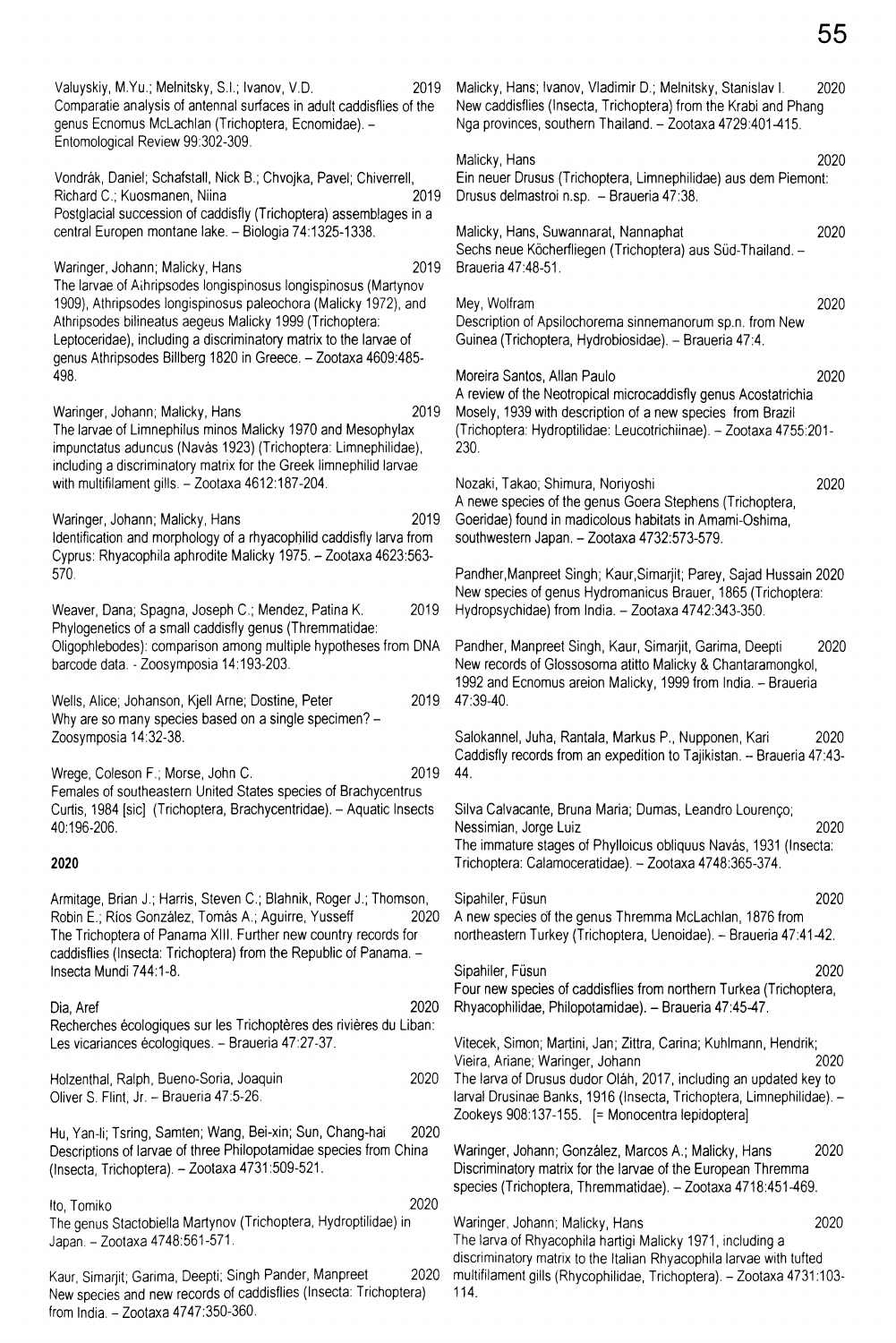Valuyskiy, M.Yu.; Melnitsky, S.I.; Ivanov, V.D. 2019 Comparatie analysis of antennal surfaces in adult caddisflies of the genus Ecnomus McLachlan (Trichoptera, Ecnomidae). - Entomological Review 99:302-309. Vondrák, Daniel; Schafstall, Nick B.; Chvojka, Pavel; Chiverrell, Richard C.; Kuosmanen, Niina 2019 Postglacial succession of caddisfly (Trichoptera) assemblages in a central Europen montane lake. - Biologia 74:1325-1338. Waringer, Johann; Malicky, Hans 2019 The larvae of Aihripsodes longispinosus longispinosus (Martynov 1909), Athripsodes longispinosus paleochora (Malicky 1972), and Athripsodes bilineatus aegeus Malicky 1999 (Trichoptera: Leptoceridae), including a discriminatory matrix to the larvae of genus Athripsodes Billberg 1820 in Greece. - Zootaxa 4609:485-498. Waringer, Johann; Malicky, Hans 2019 The larvae of Limnephilus minos Malicky 1970 and Mesophylax impunctatus aduncus (Navás 1923) (Trichoptera: Limnephilidae), including a discriminatory matrix for the Greek limnephilid larvae with multifilament gills. - Zootaxa 4612:187-204. Waringer, Johann; Malicky, Hans 2019 Identification and morphology of a rhyacophilid caddisfly larva from Cyprus: Rhyacophila aphrodite Malicky 1975. - Zootaxa 4623:563- 570. Weaver, Dana; Spagna, Joseph C.; Mendez, Patina K. 2019 Phylogenetics of a small caddisfly genus (Thremmatidae: Oligophlebodes): comparison among multiple hypotheses from DNA barcode data. - Zoosymposia 14:193-203. Wells, Alice; Johanson, Kjell Arne; Dostine, Peter 2019 Why are so many species based on a single specimen? -Zoosymposia 14:32-38. Wrege, Coleson F.; Morse, John C. 2019 Females of southeastern United States species of Brachycentrus Curtis, 1984 [sic] (Trichoptera, Brachycentridae). - Aquatic Insects 40:196-206. **2020** Armitage, Brian J.; Harris, Steven C.; Blahnik, Roger J.; Thomson, Robin E.; Ríos González, Tomás A.; Aguirre, Yusseff 2020 The Trichoptera of Panama XIII. Further new country records for caddisflies (Insecta: Trichoptera) from the Republic of Panama. - Insecta Mundi 744:1-8. Dia, Aref 2020 Recherches écologiques sur les Trichoptères des rivières du Liban: Les vicariances écologiques. - Braueria 47:27-37. Holzenthal, Ralph, Bueno-Soria, Joaquin 2020 Oliver S. Flint, Jr. - Braueria 47:5-26. Hu, Yan-li; Tsring, Samten; Wang, Bei-xin; Sun, Chang-hai 2020 Descriptions of larvae of three Philopotamidae species from China (Insecta, Trichoptera). - Zootaxa 4731:509-521. Ito, Tomiko 2020 The genus Stactobiella Martynov (Trichoptera, Hydroptilidae) in Japan. - Zootaxa 4748:561-571. Kaur, Simarjit; Garima, Deepti; Singh Pander, Manpreet 2020 New species and new records of caddisflies (Insecta: Trichoptera) Malicky, Hans; Ivanov, Vladimir D.; Melnitsky, Stanislav I. 2020 New caddisflies (Insecta, Trichoptera) from the Krabi and Phang Nga provinces, southern Thailand. - Zootaxa 4729:401-415. Malicky, Hans 2020 Ein neuer Drusus (Trichoptera, Limnephilidae) aus dem Piemont: Drusus delmastroi n.sp. - Braueria 47:38. Malicky, Hans, Suwannarat, Nannaphat 2020 Sechs neue Köcherfliegen (Trichoptera) aus Süd-Thailand. -Braueria 47:48-51. Mey, Wolfram 2020 Description of Apsilochorema sinnemanorum sp.n. from New Guinea (Trichoptera, Hydrobiosidae). - Braueria 47:4. Moreira Santos, Allan Paulo 2020 A review of the Neotropical microcaddisfly genus Acostatrichia Mosely, 1939 with description of a new species from Brazil (Trichoptera: Hydroptilidae: Leucotrichiinae). - Zootaxa 4755:201- 230. Nozaki, Takao; Shimura, Noriyoshi 2020 A newe species of the genus Goera Stephens (Trichoptera, Goeridae) found in madicolous habitats in Amami-Oshima, southwestern Japan. - Zootaxa 4732:573-579. Pandher,Manpreet Singh; Kaur,Simarjit; Parey, Sajad Hussain 2020 New species of genus Hydromanicus Brauer, 1865 (Trichoptera: Hydropsychidae) from India. - Zootaxa 4742:343-350. Pandher, Manpreet Singh, Kaur, Simarjit, Garima, Deepti 2020 New records of Glossosoma atitto Malicky & Chantaramongkol, 1992 and Ecnomus areion Malicky, 1999 from India. - Braueria 47:39-40. Salokannel, Juha, Rantala, Markus P., Nupponen, Kari 2020 Caddisfly records from an expedition to Tajikistan. - Braueria 47:43- 44. Silva Calvacante, Bruna Maria; Dumas, Leandro Lourengo; Nessimian, Jorge Luiz 2020 The immature stages of Phylloicus obliquus Navás, 1931 (Insecta: Trichoptera: Calamoceratidae). - Zootaxa 4748:365-374. Sipahiler, Füsun 2020 A new species of the genus Thremma McLachlan, 1876 from northeastern Turkey (Trichoptera, Uenoidae). - Braueria 47:41-42. Sipahiler, Füsun 2020 Four new species of caddisflies from northern Turkea (Trichoptera, Rhyacophilidae, Philopotamidae). - Braueria 47:45-47. Vitecek, Simon; Martini, Jan; Zittra, Carina; Kuhlmann, Hendrik; Vieira, Ariane; Waringer, Johann 2020 The larva of Drusus dudor Oläh, 2017, including an updated key to larval Drusinae Banks, 1916 (Insecta, Trichoptera, Limnephilidae). - Zookeys 908:137-155. [= Monocentra lepidoptera] Waringer, Johann; González, Marcos A.; Malicky, Hans 2020 Discriminatory matrix for the larvae of the European Thremma species (Trichoptera, Thremmatidae). - Zootaxa 4718:451-469. Waringer, Johann; Malicky, Hans 2020 The larva of Rhyacophila hartigi Malicky 1971, including a discriminatory matrix to the Italian Rhyacophila larvae with tufted multifilament gills (Rhycophilidae, Trichoptera). - Zootaxa 4731:103-114.

from India. - Zootaxa 4747:350-360.

55